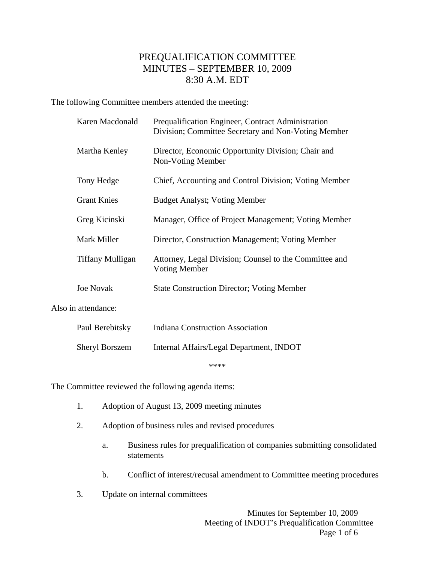# PREQUALIFICATION COMMITTEE MINUTES – SEPTEMBER 10, 2009 8:30 A.M. EDT

The following Committee members attended the meeting:

|                     | Karen Macdonald         | Prequalification Engineer, Contract Administration<br>Division; Committee Secretary and Non-Voting Member |
|---------------------|-------------------------|-----------------------------------------------------------------------------------------------------------|
|                     | Martha Kenley           | Director, Economic Opportunity Division; Chair and<br>Non-Voting Member                                   |
|                     | Tony Hedge              | Chief, Accounting and Control Division; Voting Member                                                     |
|                     | <b>Grant Knies</b>      | <b>Budget Analyst; Voting Member</b>                                                                      |
|                     | Greg Kicinski           | Manager, Office of Project Management; Voting Member                                                      |
|                     | Mark Miller             | Director, Construction Management; Voting Member                                                          |
|                     | <b>Tiffany Mulligan</b> | Attorney, Legal Division; Counsel to the Committee and<br><b>Voting Member</b>                            |
|                     | <b>Joe Novak</b>        | <b>State Construction Director; Voting Member</b>                                                         |
| Also in attendance: |                         |                                                                                                           |
|                     | Paul Berebitsky         | <b>Indiana Construction Association</b>                                                                   |
|                     | <b>Sheryl Borszem</b>   | Internal Affairs/Legal Department, INDOT                                                                  |

\*\*\*\*

The Committee reviewed the following agenda items:

- 1. Adoption of August 13, 2009 meeting minutes
- 2. Adoption of business rules and revised procedures
	- a. Business rules for prequalification of companies submitting consolidated statements
	- b. Conflict of interest/recusal amendment to Committee meeting procedures
- 3. Update on internal committees

 Minutes for September 10, 2009 Meeting of INDOT's Prequalification Committee Page 1 of 6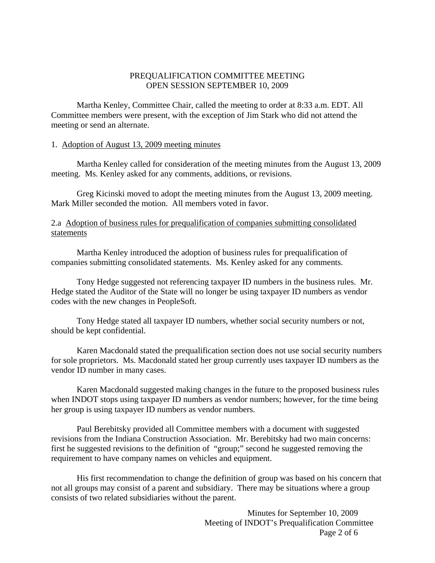## PREQUALIFICATION COMMITTEE MEETING OPEN SESSION SEPTEMBER 10, 2009

 Martha Kenley, Committee Chair, called the meeting to order at 8:33 a.m. EDT. All Committee members were present, with the exception of Jim Stark who did not attend the meeting or send an alternate.

### 1. Adoption of August 13, 2009 meeting minutes

 Martha Kenley called for consideration of the meeting minutes from the August 13, 2009 meeting. Ms. Kenley asked for any comments, additions, or revisions.

 Greg Kicinski moved to adopt the meeting minutes from the August 13, 2009 meeting. Mark Miller seconded the motion. All members voted in favor.

## 2.a Adoption of business rules for prequalification of companies submitting consolidated statements

 Martha Kenley introduced the adoption of business rules for prequalification of companies submitting consolidated statements. Ms. Kenley asked for any comments.

 Tony Hedge suggested not referencing taxpayer ID numbers in the business rules. Mr. Hedge stated the Auditor of the State will no longer be using taxpayer ID numbers as vendor codes with the new changes in PeopleSoft.

 Tony Hedge stated all taxpayer ID numbers, whether social security numbers or not, should be kept confidential.

 Karen Macdonald stated the prequalification section does not use social security numbers for sole proprietors. Ms. Macdonald stated her group currently uses taxpayer ID numbers as the vendor ID number in many cases.

 Karen Macdonald suggested making changes in the future to the proposed business rules when INDOT stops using taxpayer ID numbers as vendor numbers; however, for the time being her group is using taxpayer ID numbers as vendor numbers.

 Paul Berebitsky provided all Committee members with a document with suggested revisions from the Indiana Construction Association. Mr. Berebitsky had two main concerns: first he suggested revisions to the definition of "group;" second he suggested removing the requirement to have company names on vehicles and equipment.

 His first recommendation to change the definition of group was based on his concern that not all groups may consist of a parent and subsidiary. There may be situations where a group consists of two related subsidiaries without the parent.

> Minutes for September 10, 2009 Meeting of INDOT's Prequalification Committee Page 2 of 6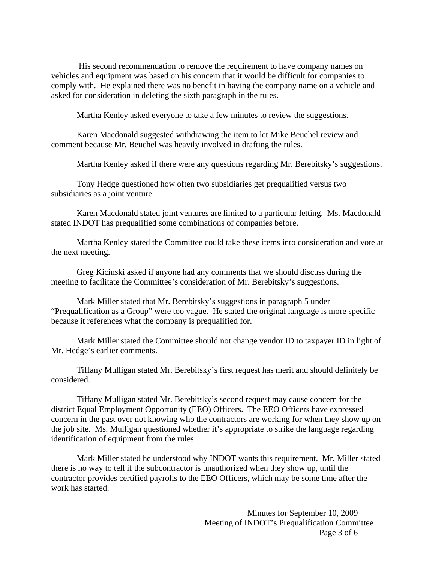His second recommendation to remove the requirement to have company names on vehicles and equipment was based on his concern that it would be difficult for companies to comply with. He explained there was no benefit in having the company name on a vehicle and asked for consideration in deleting the sixth paragraph in the rules.

Martha Kenley asked everyone to take a few minutes to review the suggestions.

 Karen Macdonald suggested withdrawing the item to let Mike Beuchel review and comment because Mr. Beuchel was heavily involved in drafting the rules.

Martha Kenley asked if there were any questions regarding Mr. Berebitsky's suggestions.

 Tony Hedge questioned how often two subsidiaries get prequalified versus two subsidiaries as a joint venture.

 Karen Macdonald stated joint ventures are limited to a particular letting. Ms. Macdonald stated INDOT has prequalified some combinations of companies before.

 Martha Kenley stated the Committee could take these items into consideration and vote at the next meeting.

 Greg Kicinski asked if anyone had any comments that we should discuss during the meeting to facilitate the Committee's consideration of Mr. Berebitsky's suggestions.

 Mark Miller stated that Mr. Berebitsky's suggestions in paragraph 5 under "Prequalification as a Group" were too vague. He stated the original language is more specific because it references what the company is prequalified for.

 Mark Miller stated the Committee should not change vendor ID to taxpayer ID in light of Mr. Hedge's earlier comments.

 Tiffany Mulligan stated Mr. Berebitsky's first request has merit and should definitely be considered.

 Tiffany Mulligan stated Mr. Berebitsky's second request may cause concern for the district Equal Employment Opportunity (EEO) Officers. The EEO Officers have expressed concern in the past over not knowing who the contractors are working for when they show up on the job site. Ms. Mulligan questioned whether it's appropriate to strike the language regarding identification of equipment from the rules.

 Mark Miller stated he understood why INDOT wants this requirement. Mr. Miller stated there is no way to tell if the subcontractor is unauthorized when they show up, until the contractor provides certified payrolls to the EEO Officers, which may be some time after the work has started.

> Minutes for September 10, 2009 Meeting of INDOT's Prequalification Committee Page 3 of 6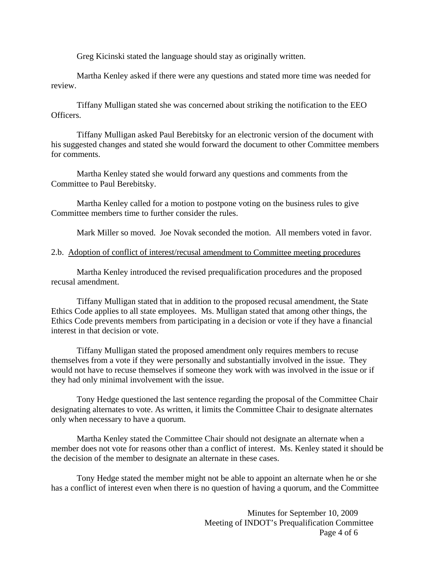Greg Kicinski stated the language should stay as originally written.

Martha Kenley asked if there were any questions and stated more time was needed for review.

 Tiffany Mulligan stated she was concerned about striking the notification to the EEO Officers.

 Tiffany Mulligan asked Paul Berebitsky for an electronic version of the document with his suggested changes and stated she would forward the document to other Committee members for comments.

 Martha Kenley stated she would forward any questions and comments from the Committee to Paul Berebitsky.

 Martha Kenley called for a motion to postpone voting on the business rules to give Committee members time to further consider the rules.

Mark Miller so moved. Joe Novak seconded the motion. All members voted in favor.

#### 2.b. Adoption of conflict of interest/recusal amendment to Committee meeting procedures

 Martha Kenley introduced the revised prequalification procedures and the proposed recusal amendment.

 Tiffany Mulligan stated that in addition to the proposed recusal amendment, the State Ethics Code applies to all state employees. Ms. Mulligan stated that among other things, the Ethics Code prevents members from participating in a decision or vote if they have a financial interest in that decision or vote.

 Tiffany Mulligan stated the proposed amendment only requires members to recuse themselves from a vote if they were personally and substantially involved in the issue. They would not have to recuse themselves if someone they work with was involved in the issue or if they had only minimal involvement with the issue.

 Tony Hedge questioned the last sentence regarding the proposal of the Committee Chair designating alternates to vote. As written, it limits the Committee Chair to designate alternates only when necessary to have a quorum.

 Martha Kenley stated the Committee Chair should not designate an alternate when a member does not vote for reasons other than a conflict of interest. Ms. Kenley stated it should be the decision of the member to designate an alternate in these cases.

 Tony Hedge stated the member might not be able to appoint an alternate when he or she has a conflict of interest even when there is no question of having a quorum, and the Committee

> Minutes for September 10, 2009 Meeting of INDOT's Prequalification Committee Page 4 of 6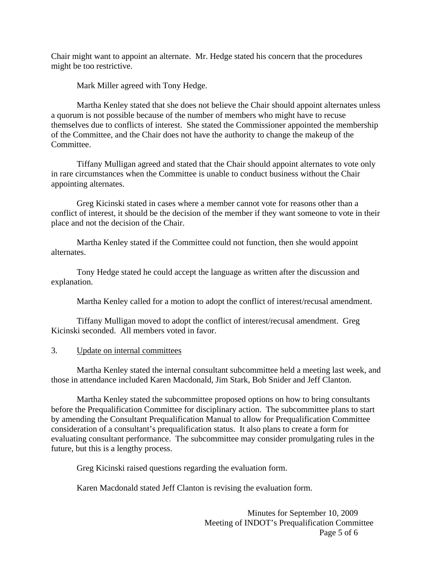Chair might want to appoint an alternate. Mr. Hedge stated his concern that the procedures might be too restrictive.

Mark Miller agreed with Tony Hedge.

 Martha Kenley stated that she does not believe the Chair should appoint alternates unless a quorum is not possible because of the number of members who might have to recuse themselves due to conflicts of interest. She stated the Commissioner appointed the membership of the Committee, and the Chair does not have the authority to change the makeup of the Committee.

 Tiffany Mulligan agreed and stated that the Chair should appoint alternates to vote only in rare circumstances when the Committee is unable to conduct business without the Chair appointing alternates.

 Greg Kicinski stated in cases where a member cannot vote for reasons other than a conflict of interest, it should be the decision of the member if they want someone to vote in their place and not the decision of the Chair.

 Martha Kenley stated if the Committee could not function, then she would appoint alternates.

 Tony Hedge stated he could accept the language as written after the discussion and explanation.

Martha Kenley called for a motion to adopt the conflict of interest/recusal amendment.

 Tiffany Mulligan moved to adopt the conflict of interest/recusal amendment. Greg Kicinski seconded. All members voted in favor.

3. Update on internal committees

 Martha Kenley stated the internal consultant subcommittee held a meeting last week, and those in attendance included Karen Macdonald, Jim Stark, Bob Snider and Jeff Clanton.

 Martha Kenley stated the subcommittee proposed options on how to bring consultants before the Prequalification Committee for disciplinary action. The subcommittee plans to start by amending the Consultant Prequalification Manual to allow for Prequalification Committee consideration of a consultant's prequalification status. It also plans to create a form for evaluating consultant performance. The subcommittee may consider promulgating rules in the future, but this is a lengthy process.

Greg Kicinski raised questions regarding the evaluation form.

Karen Macdonald stated Jeff Clanton is revising the evaluation form.

 Minutes for September 10, 2009 Meeting of INDOT's Prequalification Committee Page 5 of 6